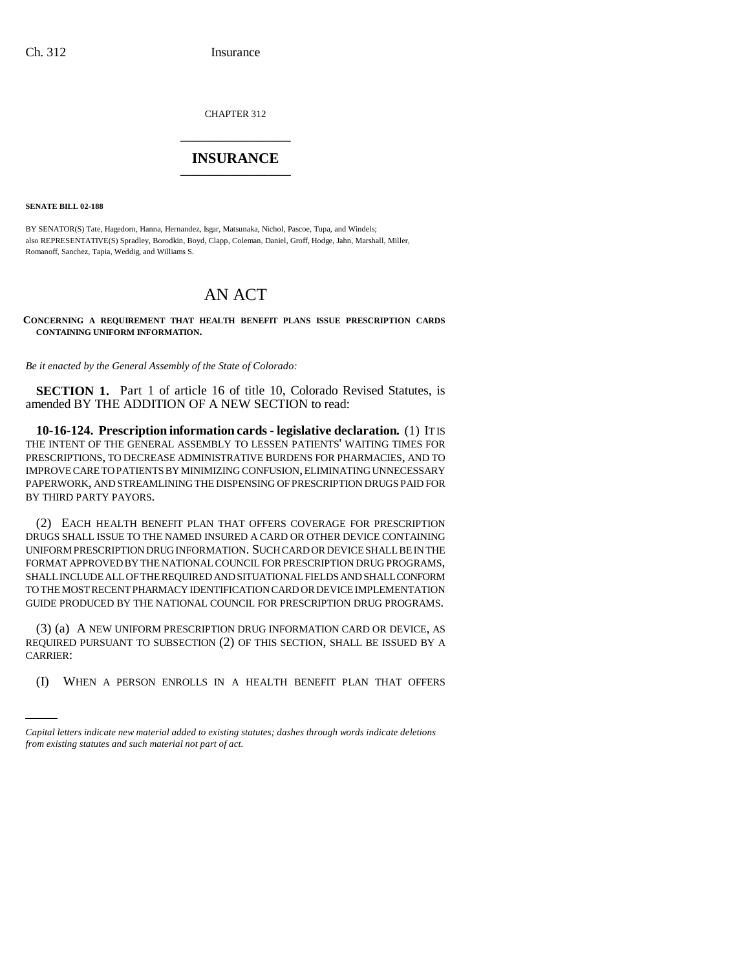CHAPTER 312 \_\_\_\_\_\_\_\_\_\_\_\_\_\_\_

## **INSURANCE** \_\_\_\_\_\_\_\_\_\_\_\_\_\_\_

**SENATE BILL 02-188**

BY SENATOR(S) Tate, Hagedorn, Hanna, Hernandez, Isgar, Matsunaka, Nichol, Pascoe, Tupa, and Windels; also REPRESENTATIVE(S) Spradley, Borodkin, Boyd, Clapp, Coleman, Daniel, Groff, Hodge, Jahn, Marshall, Miller, Romanoff, Sanchez, Tapia, Weddig, and Williams S.

## AN ACT

**CONCERNING A REQUIREMENT THAT HEALTH BENEFIT PLANS ISSUE PRESCRIPTION CARDS CONTAINING UNIFORM INFORMATION.**

*Be it enacted by the General Assembly of the State of Colorado:*

**SECTION 1.** Part 1 of article 16 of title 10, Colorado Revised Statutes, is amended BY THE ADDITION OF A NEW SECTION to read:

**10-16-124. Prescription information cards - legislative declaration.** (1) IT IS THE INTENT OF THE GENERAL ASSEMBLY TO LESSEN PATIENTS' WAITING TIMES FOR PRESCRIPTIONS, TO DECREASE ADMINISTRATIVE BURDENS FOR PHARMACIES, AND TO IMPROVE CARE TO PATIENTS BY MINIMIZING CONFUSION, ELIMINATING UNNECESSARY PAPERWORK, AND STREAMLINING THE DISPENSING OF PRESCRIPTION DRUGS PAID FOR BY THIRD PARTY PAYORS.

(2) EACH HEALTH BENEFIT PLAN THAT OFFERS COVERAGE FOR PRESCRIPTION DRUGS SHALL ISSUE TO THE NAMED INSURED A CARD OR OTHER DEVICE CONTAINING UNIFORM PRESCRIPTION DRUG INFORMATION. SUCH CARD OR DEVICE SHALL BE IN THE FORMAT APPROVED BY THE NATIONAL COUNCIL FOR PRESCRIPTION DRUG PROGRAMS, SHALL INCLUDE ALL OF THE REQUIRED AND SITUATIONAL FIELDS AND SHALL CONFORM TO THE MOST RECENT PHARMACY IDENTIFICATION CARD OR DEVICE IMPLEMENTATION GUIDE PRODUCED BY THE NATIONAL COUNCIL FOR PRESCRIPTION DRUG PROGRAMS.

CARRIER: (3) (a) A NEW UNIFORM PRESCRIPTION DRUG INFORMATION CARD OR DEVICE, AS REQUIRED PURSUANT TO SUBSECTION (2) OF THIS SECTION, SHALL BE ISSUED BY A

(I) WHEN A PERSON ENROLLS IN A HEALTH BENEFIT PLAN THAT OFFERS

*Capital letters indicate new material added to existing statutes; dashes through words indicate deletions from existing statutes and such material not part of act.*